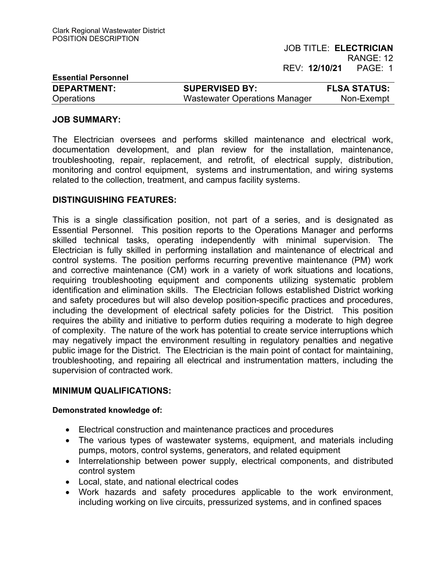| <b>Essential Personnel</b> |                               |                     |
|----------------------------|-------------------------------|---------------------|
| <b>DEPARTMENT:</b>         | <b>SUPERVISED BY:</b>         | <b>FLSA STATUS:</b> |
| <b>Operations</b>          | Wastewater Operations Manager | Non-Exempt          |

## **JOB SUMMARY:**

The Electrician oversees and performs skilled maintenance and electrical work, documentation development, and plan review for the installation, maintenance, troubleshooting, repair, replacement, and retrofit, of electrical supply, distribution, monitoring and control equipment, systems and instrumentation, and wiring systems related to the collection, treatment, and campus facility systems.

## **DISTINGUISHING FEATURES:**

This is a single classification position, not part of a series, and is designated as Essential Personnel. This position reports to the Operations Manager and performs skilled technical tasks, operating independently with minimal supervision. The Electrician is fully skilled in performing installation and maintenance of electrical and control systems. The position performs recurring preventive maintenance (PM) work and corrective maintenance (CM) work in a variety of work situations and locations, requiring troubleshooting equipment and components utilizing systematic problem identification and elimination skills. The Electrician follows established District working and safety procedures but will also develop position-specific practices and procedures, including the development of electrical safety policies for the District. This position requires the ability and initiative to perform duties requiring a moderate to high degree of complexity. The nature of the work has potential to create service interruptions which may negatively impact the environment resulting in regulatory penalties and negative public image for the District. The Electrician is the main point of contact for maintaining, troubleshooting, and repairing all electrical and instrumentation matters, including the supervision of contracted work.

## **MINIMUM QUALIFICATIONS:**

## **Demonstrated knowledge of:**

- Electrical construction and maintenance practices and procedures
- The various types of wastewater systems, equipment, and materials including pumps, motors, control systems, generators, and related equipment
- Interrelationship between power supply, electrical components, and distributed control system
- Local, state, and national electrical codes
- Work hazards and safety procedures applicable to the work environment, including working on live circuits, pressurized systems, and in confined spaces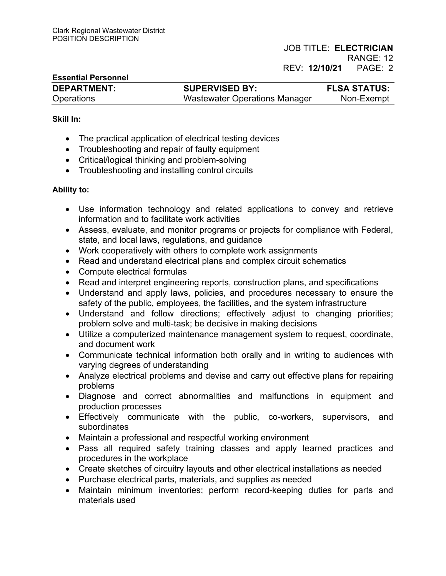## JOB TITLE: **ELECTRICIAN**  RANGE: 12 REV: **12/10/21** PAGE:2

# **Essential Personnel DEPARTMENT: SUPERVISED BY: FLSA STATUS:**  Operations Wastewater Operations Manager Non-Exempt

#### **Skill In:**

- The practical application of electrical testing devices
- Troubleshooting and repair of faulty equipment
- Critical/logical thinking and problem-solving
- Troubleshooting and installing control circuits

#### **Ability to:**

- Use information technology and related applications to convey and retrieve information and to facilitate work activities
- Assess, evaluate, and monitor programs or projects for compliance with Federal, state, and local laws, regulations, and guidance
- Work cooperatively with others to complete work assignments
- Read and understand electrical plans and complex circuit schematics
- Compute electrical formulas
- Read and interpret engineering reports, construction plans, and specifications
- Understand and apply laws, policies, and procedures necessary to ensure the safety of the public, employees, the facilities, and the system infrastructure
- Understand and follow directions; effectively adjust to changing priorities; problem solve and multi-task; be decisive in making decisions
- Utilize a computerized maintenance management system to request, coordinate, and document work
- Communicate technical information both orally and in writing to audiences with varying degrees of understanding
- Analyze electrical problems and devise and carry out effective plans for repairing problems
- Diagnose and correct abnormalities and malfunctions in equipment and production processes
- Effectively communicate with the public, co-workers, supervisors, and subordinates
- Maintain a professional and respectful working environment
- Pass all required safety training classes and apply learned practices and procedures in the workplace
- Create sketches of circuitry layouts and other electrical installations as needed
- Purchase electrical parts, materials, and supplies as needed
- Maintain minimum inventories; perform record-keeping duties for parts and materials used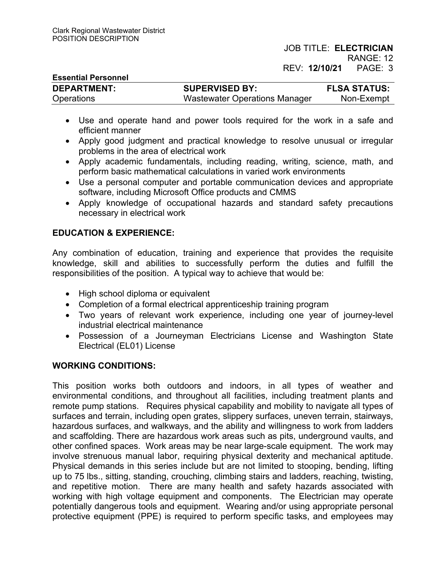JOB TITLE: **ELECTRICIAN**  RANGE: 12

REV: **12/10/21** PAGE:3

| <b>Essential Personnel</b> |                               |                     |
|----------------------------|-------------------------------|---------------------|
| <b>DEPARTMENT:</b>         | <b>SUPERVISED BY:</b>         | <b>FLSA STATUS:</b> |
| <b>Operations</b>          | Wastewater Operations Manager | Non-Exempt          |

- Use and operate hand and power tools required for the work in a safe and efficient manner
- Apply good judgment and practical knowledge to resolve unusual or irregular problems in the area of electrical work
- Apply academic fundamentals, including reading, writing, science, math, and perform basic mathematical calculations in varied work environments
- Use a personal computer and portable communication devices and appropriate software, including Microsoft Office products and CMMS
- Apply knowledge of occupational hazards and standard safety precautions necessary in electrical work

# **EDUCATION & EXPERIENCE:**

Any combination of education, training and experience that provides the requisite knowledge, skill and abilities to successfully perform the duties and fulfill the responsibilities of the position. A typical way to achieve that would be:

- High school diploma or equivalent
- Completion of a formal electrical apprenticeship training program
- Two years of relevant work experience, including one year of journey-level industrial electrical maintenance
- Possession of a Journeyman Electricians License and Washington State Electrical (EL01) License

# **WORKING CONDITIONS:**

This position works both outdoors and indoors, in all types of weather and environmental conditions, and throughout all facilities, including treatment plants and remote pump stations. Requires physical capability and mobility to navigate all types of surfaces and terrain, including open grates, slippery surfaces, uneven terrain, stairways, hazardous surfaces, and walkways, and the ability and willingness to work from ladders and scaffolding. There are hazardous work areas such as pits, underground vaults, and other confined spaces. Work areas may be near large-scale equipment. The work may involve strenuous manual labor, requiring physical dexterity and mechanical aptitude. Physical demands in this series include but are not limited to stooping, bending, lifting up to 75 lbs., sitting, standing, crouching, climbing stairs and ladders, reaching, twisting, and repetitive motion. There are many health and safety hazards associated with working with high voltage equipment and components. The Electrician may operate potentially dangerous tools and equipment. Wearing and/or using appropriate personal protective equipment (PPE) is required to perform specific tasks, and employees may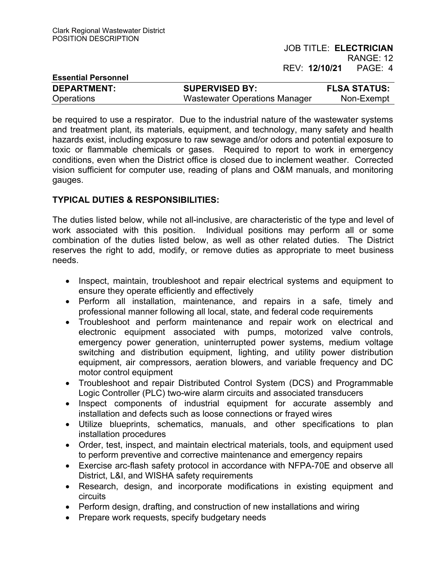| <b>Essential Personnel</b> |                                      |                     |
|----------------------------|--------------------------------------|---------------------|
| <b>DEPARTMENT:</b>         | <b>SUPERVISED BY:</b>                | <b>FLSA STATUS:</b> |
| <b>Operations</b>          | <b>Wastewater Operations Manager</b> | Non-Exempt          |

be required to use a respirator. Due to the industrial nature of the wastewater systems and treatment plant, its materials, equipment, and technology, many safety and health hazards exist, including exposure to raw sewage and/or odors and potential exposure to toxic or flammable chemicals or gases. Required to report to work in emergency conditions, even when the District office is closed due to inclement weather. Corrected vision sufficient for computer use, reading of plans and O&M manuals, and monitoring gauges.

# **TYPICAL DUTIES & RESPONSIBILITIES:**

The duties listed below, while not all-inclusive, are characteristic of the type and level of work associated with this position. Individual positions may perform all or some combination of the duties listed below, as well as other related duties. The District reserves the right to add, modify, or remove duties as appropriate to meet business needs.

- Inspect, maintain, troubleshoot and repair electrical systems and equipment to ensure they operate efficiently and effectively
- Perform all installation, maintenance, and repairs in a safe, timely and professional manner following all local, state, and federal code requirements
- Troubleshoot and perform maintenance and repair work on electrical and electronic equipment associated with pumps, motorized valve controls, emergency power generation, uninterrupted power systems, medium voltage switching and distribution equipment, lighting, and utility power distribution equipment, air compressors, aeration blowers, and variable frequency and DC motor control equipment
- Troubleshoot and repair Distributed Control System (DCS) and Programmable Logic Controller (PLC) two-wire alarm circuits and associated transducers
- Inspect components of industrial equipment for accurate assembly and installation and defects such as loose connections or frayed wires
- Utilize blueprints, schematics, manuals, and other specifications to plan installation procedures
- Order, test, inspect, and maintain electrical materials, tools, and equipment used to perform preventive and corrective maintenance and emergency repairs
- Exercise arc-flash safety protocol in accordance with NFPA-70E and observe all District, L&I, and WISHA safety requirements
- Research, design, and incorporate modifications in existing equipment and circuits
- Perform design, drafting, and construction of new installations and wiring
- Prepare work requests, specify budgetary needs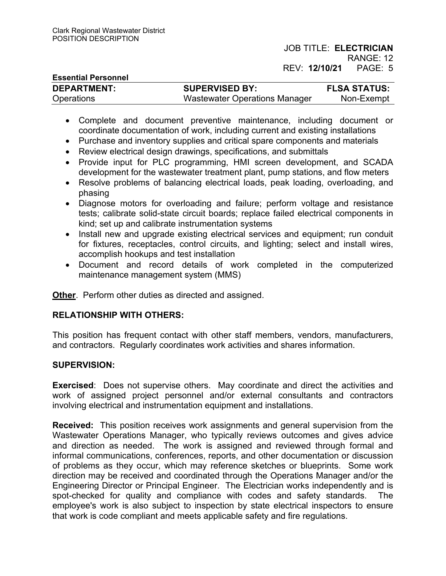# JOB TITLE: **ELECTRICIAN**

RANGE: 12 REV: **12/10/21** PAGE:5

| <b>Essential Personnel</b> |                               |                     |
|----------------------------|-------------------------------|---------------------|
| <b>DEPARTMENT:</b>         | <b>SUPERVISED BY:</b>         | <b>FLSA STATUS:</b> |
| Operations                 | Wastewater Operations Manager | Non-Exempt          |

- Complete and document preventive maintenance, including document or coordinate documentation of work, including current and existing installations
- Purchase and inventory supplies and critical spare components and materials
- Review electrical design drawings, specifications, and submittals
- Provide input for PLC programming, HMI screen development, and SCADA development for the wastewater treatment plant, pump stations, and flow meters
- Resolve problems of balancing electrical loads, peak loading, overloading, and phasing
- Diagnose motors for overloading and failure; perform voltage and resistance tests; calibrate solid-state circuit boards; replace failed electrical components in kind; set up and calibrate instrumentation systems
- Install new and upgrade existing electrical services and equipment; run conduit for fixtures, receptacles, control circuits, and lighting; select and install wires, accomplish hookups and test installation
- Document and record details of work completed in the computerized maintenance management system (MMS)

**Other**. Perform other duties as directed and assigned.

# **RELATIONSHIP WITH OTHERS:**

This position has frequent contact with other staff members, vendors, manufacturers, and contractors. Regularly coordinates work activities and shares information.

## **SUPERVISION:**

**Exercised**: Does not supervise others. May coordinate and direct the activities and work of assigned project personnel and/or external consultants and contractors involving electrical and instrumentation equipment and installations.

**Received:** This position receives work assignments and general supervision from the Wastewater Operations Manager, who typically reviews outcomes and gives advice and direction as needed. The work is assigned and reviewed through formal and informal communications, conferences, reports, and other documentation or discussion of problems as they occur, which may reference sketches or blueprints. Some work direction may be received and coordinated through the Operations Manager and/or the Engineering Director or Principal Engineer. The Electrician works independently and is spot-checked for quality and compliance with codes and safety standards. The employee's work is also subject to inspection by state electrical inspectors to ensure that work is code compliant and meets applicable safety and fire regulations.